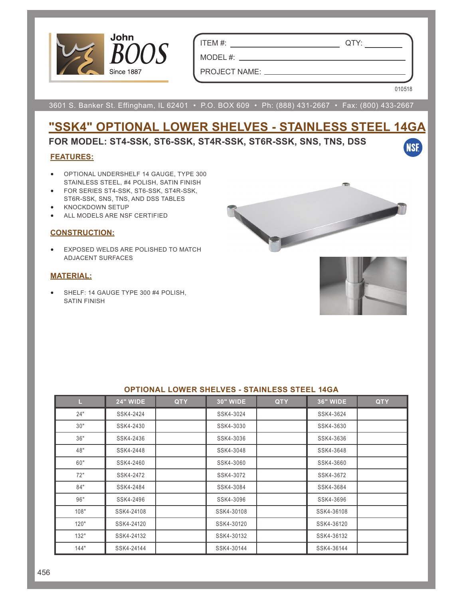

ITEM #: QTY:

MODEL #:

PROJECT NAME:

010518

**NSF** 

3601 S. Banker St. Effingham, IL 62401 • P.O. BOX 609 • Ph: (888) 431-2667 • Fax: (800) 433-2667

# **"SSK4" OPTIONAL LOWER SHELVES - STAINLESS STEEL 14GA**

## **FOR MODEL: ST4-SSK, ST6-SSK, ST4R-SSK, ST6R-SSK, SNS, TNS, DSS**

#### **FEATURES:**

- OPTIONAL UNDERSHELF 14 GAUGE, TYPE 300 STAINLESS STEEL, #4 POLISH, SATIN FINISH
- FOR SERIES ST4-SSK, ST6-SSK, ST4R-SSK, ST6R-SSK, SNS, TNS, AND DSS TABLES
- KNOCKDOWN SETUP
- ALL MODELS ARE NSF CERTIFIED

#### **CONSTRUCTION:**

• EXPOSED WELDS ARE POLISHED TO MATCH ADJACENT SURFACES

#### **MATERIAL:**

• SHELF: 14 GAUGE TYPE 300 #4 POLISH, SATIN FINISH



| <u>UF HUNAL LUWLIN ƏHLEVLƏ " ƏTAINLLƏƏ ƏTLEL TƏDA</u> |                 |            |                 |            |                 |            |  |  |  |  |
|-------------------------------------------------------|-----------------|------------|-----------------|------------|-----------------|------------|--|--|--|--|
| L.                                                    | <b>24" WIDE</b> | <b>QTY</b> | <b>30" WIDE</b> | <b>QTY</b> | <b>36" WIDE</b> | <b>QTY</b> |  |  |  |  |
| 24"                                                   | SSK4-2424       |            | SSK4-3024       |            | SSK4-3624       |            |  |  |  |  |
| 30"                                                   | SSK4-2430       |            | SSK4-3030       |            | SSK4-3630       |            |  |  |  |  |
| 36"                                                   | SSK4-2436       |            | SSK4-3036       |            | SSK4-3636       |            |  |  |  |  |
| 48"                                                   | SSK4-2448       |            | SSK4-3048       |            | SSK4-3648       |            |  |  |  |  |
| 60"                                                   | SSK4-2460       |            | SSK4-3060       |            | SSK4-3660       |            |  |  |  |  |
| 72"                                                   | SSK4-2472       |            | SSK4-3072       |            | SSK4-3672       |            |  |  |  |  |
| 84"                                                   | SSK4-2484       |            | SSK4-3084       |            | SSK4-3684       |            |  |  |  |  |
| 96"                                                   | SSK4-2496       |            | SSK4-3096       |            | SSK4-3696       |            |  |  |  |  |
| 108"                                                  | SSK4-24108      |            | SSK4-30108      |            | SSK4-36108      |            |  |  |  |  |
| 120"                                                  | SSK4-24120      |            | SSK4-30120      |            | SSK4-36120      |            |  |  |  |  |
| 132"                                                  | SSK4-24132      |            | SSK4-30132      |            | SSK4-36132      |            |  |  |  |  |
| 144"                                                  | SSK4-24144      |            | SSK4-30144      |            | SSK4-36144      |            |  |  |  |  |

#### **OPTIONAL LOWER SHELVES STAINLESS STEEL 14GA**